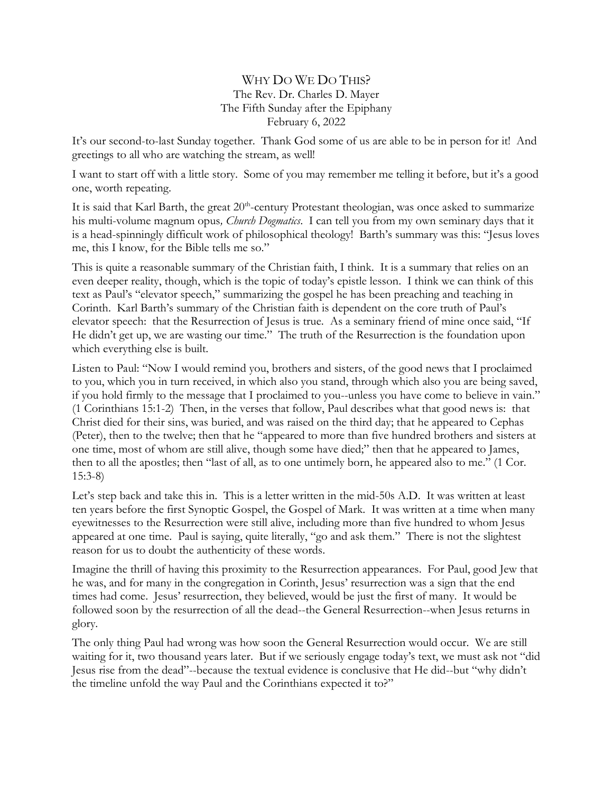## WHY DO WE DO THIS? The Rev. Dr. Charles D. Mayer The Fifth Sunday after the Epiphany February 6, 2022

It's our second-to-last Sunday together. Thank God some of us are able to be in person for it! And greetings to all who are watching the stream, as well!

I want to start off with a little story. Some of you may remember me telling it before, but it's a good one, worth repeating.

It is said that Karl Barth, the great 20<sup>th</sup>-century Protestant theologian, was once asked to summarize his multi-volume magnum opus*, Church Dogmatics*. I can tell you from my own seminary days that it is a head-spinningly difficult work of philosophical theology! Barth's summary was this: "Jesus loves me, this I know, for the Bible tells me so."

This is quite a reasonable summary of the Christian faith, I think. It is a summary that relies on an even deeper reality, though, which is the topic of today's epistle lesson. I think we can think of this text as Paul's "elevator speech," summarizing the gospel he has been preaching and teaching in Corinth. Karl Barth's summary of the Christian faith is dependent on the core truth of Paul's elevator speech: that the Resurrection of Jesus is true. As a seminary friend of mine once said, "If He didn't get up, we are wasting our time." The truth of the Resurrection is the foundation upon which everything else is built.

Listen to Paul: "Now I would remind you, brothers and sisters, of the good news that I proclaimed to you, which you in turn received, in which also you stand, through which also you are being saved, if you hold firmly to the message that I proclaimed to you--unless you have come to believe in vain." (1 Corinthians 15:1-2) Then, in the verses that follow, Paul describes what that good news is: that Christ died for their sins, was buried, and was raised on the third day; that he appeared to Cephas (Peter), then to the twelve; then that he "appeared to more than five hundred brothers and sisters at one time, most of whom are still alive, though some have died;" then that he appeared to James, then to all the apostles; then "last of all, as to one untimely born, he appeared also to me." (1 Cor. 15:3-8)

Let's step back and take this in. This is a letter written in the mid-50s A.D. It was written at least ten years before the first Synoptic Gospel, the Gospel of Mark. It was written at a time when many eyewitnesses to the Resurrection were still alive, including more than five hundred to whom Jesus appeared at one time. Paul is saying, quite literally, "go and ask them." There is not the slightest reason for us to doubt the authenticity of these words.

Imagine the thrill of having this proximity to the Resurrection appearances. For Paul, good Jew that he was, and for many in the congregation in Corinth, Jesus' resurrection was a sign that the end times had come. Jesus' resurrection, they believed, would be just the first of many. It would be followed soon by the resurrection of all the dead--the General Resurrection--when Jesus returns in glory.

The only thing Paul had wrong was how soon the General Resurrection would occur. We are still waiting for it, two thousand years later. But if we seriously engage today's text, we must ask not "did Jesus rise from the dead"--because the textual evidence is conclusive that He did--but "why didn't the timeline unfold the way Paul and the Corinthians expected it to?"